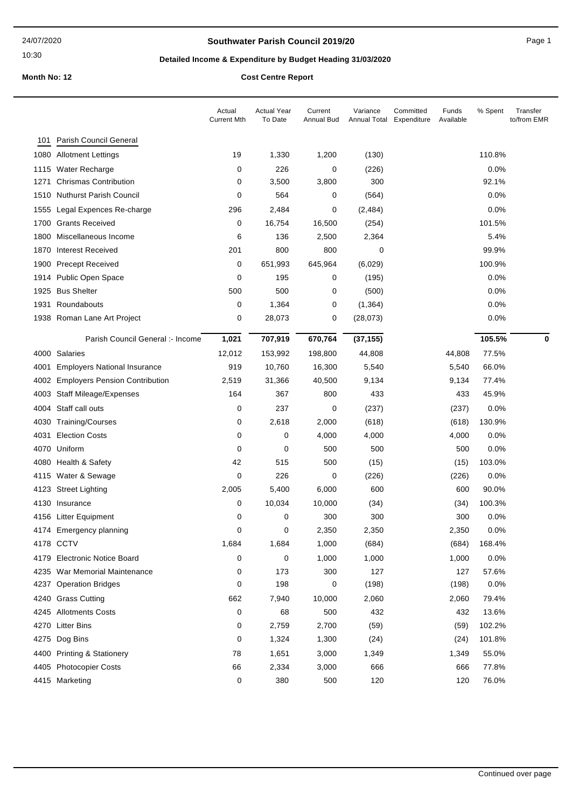## **Southwater Parish Council 2019/20** Page 1

# **Detailed Income & Expenditure by Budget Heading 31/03/2020**

|      |                                       | Actual<br><b>Current Mth</b> | Actual Year<br>To Date | Current<br>Annual Bud | Variance<br>Annual Total | Committed<br>Funds<br>Expenditure<br>Available | % Spent | Transfer<br>to/from EMR |
|------|---------------------------------------|------------------------------|------------------------|-----------------------|--------------------------|------------------------------------------------|---------|-------------------------|
| 101  | Parish Council General                |                              |                        |                       |                          |                                                |         |                         |
| 1080 | <b>Allotment Lettings</b>             | 19                           | 1,330                  | 1,200                 | (130)                    |                                                | 110.8%  |                         |
| 1115 | <b>Water Recharge</b>                 | 0                            | 226                    | 0                     | (226)                    |                                                | 0.0%    |                         |
| 1271 | <b>Chrismas Contribution</b>          | 0                            | 3,500                  | 3,800                 | 300                      |                                                | 92.1%   |                         |
| 1510 | <b>Nuthurst Parish Council</b>        | 0                            | 564                    | 0                     | (564)                    |                                                | $0.0\%$ |                         |
| 1555 | Legal Expences Re-charge              | 296                          | 2,484                  | 0                     | (2, 484)                 |                                                | 0.0%    |                         |
| 1700 | <b>Grants Received</b>                | 0                            | 16,754                 | 16,500                | (254)                    |                                                | 101.5%  |                         |
| 1800 | Miscellaneous Income                  | 6                            | 136                    | 2,500                 | 2,364                    |                                                | 5.4%    |                         |
| 1870 | <b>Interest Received</b>              | 201                          | 800                    | 800                   | 0                        |                                                | 99.9%   |                         |
| 1900 | <b>Precept Received</b>               | 0                            | 651,993                | 645,964               | (6,029)                  |                                                | 100.9%  |                         |
|      | 1914 Public Open Space                | 0                            | 195                    | 0                     | (195)                    |                                                | 0.0%    |                         |
| 1925 | <b>Bus Shelter</b>                    | 500                          | 500                    | 0                     | (500)                    |                                                | 0.0%    |                         |
| 1931 | Roundabouts                           | 0                            | 1,364                  | 0                     | (1, 364)                 |                                                | $0.0\%$ |                         |
|      | 1938 Roman Lane Art Project           | 0                            | 28,073                 | 0                     | (28, 073)                |                                                | 0.0%    |                         |
|      | Parish Council General :- Income      | 1,021                        | 707,919                | 670,764               | (37, 155)                |                                                | 105.5%  | 0                       |
|      | 4000 Salaries                         | 12,012                       | 153,992                | 198,800               | 44,808                   | 44,808                                         | 77.5%   |                         |
| 4001 | <b>Employers National Insurance</b>   | 919                          | 10,760                 | 16,300                | 5,540                    | 5,540                                          | 66.0%   |                         |
| 4002 | <b>Employers Pension Contribution</b> | 2,519                        | 31,366                 | 40,500                | 9,134                    | 9,134                                          | 77.4%   |                         |
| 4003 | <b>Staff Mileage/Expenses</b>         | 164                          | 367                    | 800                   | 433                      | 433                                            | 45.9%   |                         |
| 4004 | Staff call outs                       | 0                            | 237                    | 0                     | (237)                    | (237)                                          | 0.0%    |                         |
|      | 4030 Training/Courses                 | 0                            | 2,618                  | 2,000                 | (618)                    | (618)                                          | 130.9%  |                         |
| 4031 | <b>Election Costs</b>                 | 0                            | 0                      | 4,000                 | 4,000                    | 4,000                                          | 0.0%    |                         |
| 4070 | Uniform                               | 0                            | 0                      | 500                   | 500                      | 500                                            | 0.0%    |                         |
|      | 4080 Health & Safety                  | 42                           | 515                    | 500                   | (15)                     | (15)                                           | 103.0%  |                         |
|      | 4115 Water & Sewage                   | 0                            | 226                    | 0                     | (226)                    | (226)                                          | 0.0%    |                         |
|      | 4123 Street Lighting                  | 2,005                        | 5,400                  | 6,000                 | 600                      | 600                                            | 90.0%   |                         |
|      | 4130 Insurance                        | 0                            | 10,034                 | 10,000                | (34)                     | (34)                                           | 100.3%  |                         |
|      | 4156 Litter Equipment                 | 0                            | 0                      | 300                   | 300                      | 300                                            | 0.0%    |                         |
|      | 4174 Emergency planning               | 0                            | 0                      | 2,350                 | 2,350                    | 2,350                                          | 0.0%    |                         |
|      | 4178 CCTV                             | 1,684                        | 1,684                  | 1,000                 | (684)                    | (684)                                          | 168.4%  |                         |
|      | 4179 Electronic Notice Board          | 0                            | 0                      | 1,000                 | 1,000                    | 1,000                                          | 0.0%    |                         |
|      | 4235 War Memorial Maintenance         | 0                            | 173                    | 300                   | 127                      | 127                                            | 57.6%   |                         |
|      | 4237 Operation Bridges                | 0                            | 198                    | 0                     | (198)                    | (198)                                          | 0.0%    |                         |
|      | 4240 Grass Cutting                    | 662                          | 7,940                  | 10,000                | 2,060                    | 2,060                                          | 79.4%   |                         |
|      | 4245 Allotments Costs                 | 0                            | 68                     | 500                   | 432                      | 432                                            | 13.6%   |                         |
|      | 4270 Litter Bins                      | 0                            | 2,759                  | 2,700                 | (59)                     | (59)                                           | 102.2%  |                         |
|      | 4275 Dog Bins                         | 0                            | 1,324                  | 1,300                 | (24)                     | (24)                                           | 101.8%  |                         |
|      | 4400 Printing & Stationery            | 78                           | 1,651                  | 3,000                 | 1,349                    | 1,349                                          | 55.0%   |                         |
|      | 4405 Photocopier Costs                | 66                           | 2,334                  | 3,000                 | 666                      | 666                                            | 77.8%   |                         |
|      | 4415 Marketing                        | 0                            | 380                    | 500                   | 120                      | 120                                            | 76.0%   |                         |
|      |                                       |                              |                        |                       |                          |                                                |         |                         |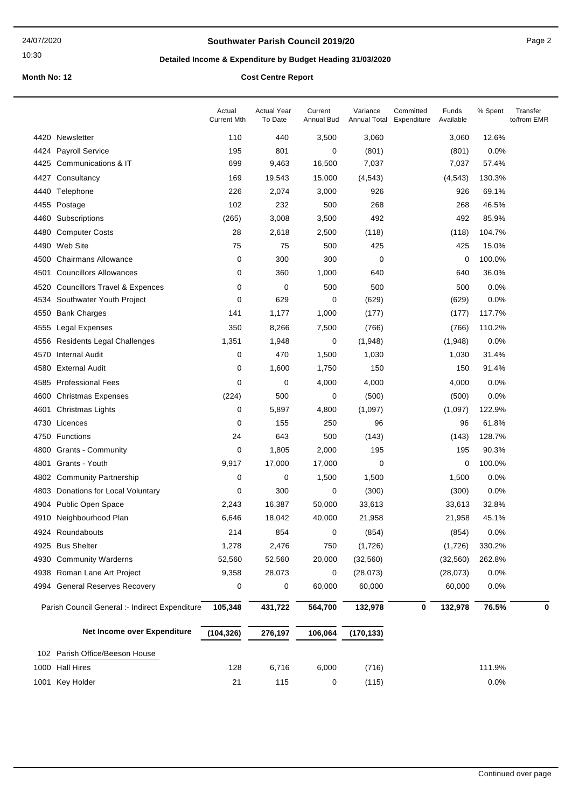## **Southwater Parish Council 2019/20** Page 2

# **Detailed Income & Expenditure by Budget Heading 31/03/2020**

| 4420 Newsletter<br>3,500<br>12.6%<br>110<br>440<br>3,060<br>3,060                                                   |   |
|---------------------------------------------------------------------------------------------------------------------|---|
|                                                                                                                     |   |
| <b>Payroll Service</b><br>195<br>801<br>(801)<br>0.0%<br>4424<br>0<br>(801)                                         |   |
| Communications & IT<br>699<br>9,463<br>16,500<br>7,037<br>4425<br>7,037<br>57.4%                                    |   |
| 4427<br>Consultancy<br>169<br>19,543<br>15,000<br>(4, 543)<br>(4, 543)<br>130.3%                                    |   |
| 226<br>2,074<br>3,000<br>926<br>69.1%<br>4440<br>Telephone<br>926                                                   |   |
| 102<br>232<br>268<br>46.5%<br>4455<br>Postage<br>500<br>268                                                         |   |
| (265)<br>3,008<br>492<br>492<br>85.9%<br>4460<br>Subscriptions<br>3,500                                             |   |
| 28<br>2,618<br>2,500<br>4480<br><b>Computer Costs</b><br>(118)<br>(118)<br>104.7%                                   |   |
| 75<br>4490<br>Web Site<br>75<br>500<br>425<br>425<br>15.0%                                                          |   |
| <b>Chairmans Allowance</b><br>0<br>300<br>100.0%<br>300<br>0<br>0<br>4500                                           |   |
| <b>Councillors Allowances</b><br>360<br>640<br>36.0%<br>4501<br>0<br>1,000<br>640                                   |   |
| <b>Councillors Travel &amp; Expences</b><br>0<br>500<br>500<br>500<br>0.0%<br>4520<br>0                             |   |
| 0<br>629<br>0.0%<br>Southwater Youth Project<br>0<br>(629)<br>(629)<br>4534                                         |   |
| 141<br>1,177<br>4550<br><b>Bank Charges</b><br>1,000<br>(177)<br>(177)<br>117.7%                                    |   |
| 350<br>8,266<br>110.2%<br>4555<br><b>Legal Expenses</b><br>7,500<br>(766)<br>(766)                                  |   |
| 1,351<br>1,948<br>(1,948)<br>0.0%<br>4556<br><b>Residents Legal Challenges</b><br>0<br>(1,948)                      |   |
| 470<br>4570<br><b>Internal Audit</b><br>0<br>1,500<br>1,030<br>1,030<br>31.4%                                       |   |
| <b>External Audit</b><br>1,600<br>150<br>4580<br>0<br>1,750<br>150<br>91.4%                                         |   |
| 4585 Professional Fees<br>0<br>0.0%<br>0<br>4,000<br>4,000<br>4,000                                                 |   |
| 500<br>0<br>(500)<br>0.0%<br>4600<br><b>Christmas Expenses</b><br>(224)<br>(500)                                    |   |
| 4601<br>Christmas Lights<br>0<br>5,897<br>4,800<br>(1,097)<br>(1,097)<br>122.9%                                     |   |
| 155<br>61.8%<br>4730<br>Licences<br>0<br>250<br>96<br>96                                                            |   |
| 24<br>643<br>500<br>(143)<br>(143)<br>128.7%<br>4750<br><b>Functions</b>                                            |   |
| <b>Grants - Community</b><br>0<br>1,805<br>2,000<br>195<br>195<br>90.3%<br>4800                                     |   |
| Grants - Youth<br>17,000<br>100.0%<br>4801<br>9,917<br>17,000<br>0<br>0                                             |   |
| <b>Community Partnership</b><br>0<br>0<br>1,500<br>1,500<br>0.0%<br>4802<br>1,500                                   |   |
| 300<br>(300)<br>0.0%<br>4803<br>Donations for Local Voluntary<br>0<br>0<br>(300)                                    |   |
| Public Open Space<br>4904<br>2,243<br>16,387<br>50,000<br>33,613<br>33,613<br>32.8%                                 |   |
| Neighbourhood Plan<br>40,000<br>45.1%<br>6,646<br>18,042<br>21,958<br>21,958<br>4910                                |   |
| 854<br>4924 Roundabouts<br>214<br>(854)<br>(854)<br>0.0%<br>0                                                       |   |
| 4925 Bus Shelter<br>2,476<br>1,278<br>750<br>(1,726)<br>330.2%<br>(1,726)                                           |   |
| 4930 Community Warderns<br>52,560<br>52,560<br>20,000<br>(32, 560)<br>(32, 560)<br>262.8%                           |   |
| 4938 Roman Lane Art Project<br>9,358<br>28,073<br>(28, 073)<br>(28,073)<br>0.0%<br>0                                |   |
| 4994 General Reserves Recovery<br>0<br>60,000<br>60,000<br>0.0%<br>0<br>60,000                                      |   |
| 76.5%<br>Parish Council General :- Indirect Expenditure<br>105,348<br>431,722<br>564,700<br>132,978<br>0<br>132,978 | 0 |
| Net Income over Expenditure<br>(104, 326)<br>276,197<br>106,064<br>(170, 133)                                       |   |
| Parish Office/Beeson House<br>102                                                                                   |   |
| 1000 Hall Hires<br>128<br>6,716<br>(716)<br>111.9%<br>6,000                                                         |   |
| 115<br>0.0%<br>1001 Key Holder<br>21<br>(115)<br>0                                                                  |   |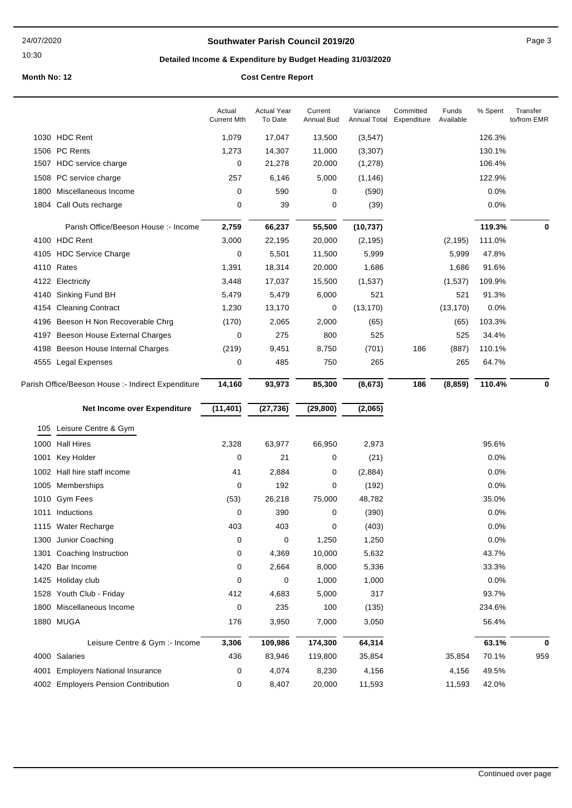## **Southwater Parish Council 2019/20** Page 3

# **Detailed Income & Expenditure by Budget Heading 31/03/2020**

|      |                                                    | Actual<br><b>Current Mth</b> | <b>Actual Year</b><br>To Date | Current<br>Annual Bud | Variance<br>Annual Total | Committed<br>Expenditure | Funds<br>Available | % Spent | Transfer<br>to/from EMR |
|------|----------------------------------------------------|------------------------------|-------------------------------|-----------------------|--------------------------|--------------------------|--------------------|---------|-------------------------|
|      | 1030 HDC Rent                                      | 1,079                        | 17,047                        | 13,500                | (3, 547)                 |                          |                    | 126.3%  |                         |
|      | 1506 PC Rents                                      | 1,273                        | 14,307                        | 11,000                | (3, 307)                 |                          |                    | 130.1%  |                         |
|      | 1507 HDC service charge                            | 0                            | 21,278                        | 20,000                | (1, 278)                 |                          |                    | 106.4%  |                         |
|      | 1508 PC service charge                             | 257                          | 6,146                         | 5,000                 | (1, 146)                 |                          |                    | 122.9%  |                         |
| 1800 | Miscellaneous Income                               | 0                            | 590                           | 0                     | (590)                    |                          |                    | 0.0%    |                         |
| 1804 | Call Outs recharge                                 | 0                            | 39                            | 0                     | (39)                     |                          |                    | 0.0%    |                         |
|      | Parish Office/Beeson House :- Income               | 2,759                        | 66,237                        | 55,500                | (10, 737)                |                          |                    | 119.3%  | 0                       |
|      | 4100 HDC Rent                                      | 3,000                        | 22,195                        | 20,000                | (2, 195)                 |                          | (2, 195)           | 111.0%  |                         |
|      | 4105 HDC Service Charge                            | 0                            | 5,501                         | 11,500                | 5,999                    |                          | 5,999              | 47.8%   |                         |
|      | 4110 Rates                                         | 1,391                        | 18,314                        | 20,000                | 1,686                    |                          | 1,686              | 91.6%   |                         |
|      | 4122 Electricity                                   | 3,448                        | 17,037                        | 15,500                | (1,537)                  |                          | (1,537)            | 109.9%  |                         |
|      | 4140 Sinking Fund BH                               | 5,479                        | 5,479                         | 6,000                 | 521                      |                          | 521                | 91.3%   |                         |
|      | 4154 Cleaning Contract                             | 1,230                        | 13,170                        | 0                     | (13, 170)                |                          | (13, 170)          | 0.0%    |                         |
|      | 4196 Beeson H Non Recoverable Chrg                 | (170)                        | 2,065                         | 2,000                 | (65)                     |                          | (65)               | 103.3%  |                         |
|      | 4197 Beeson House External Charges                 | 0                            | 275                           | 800                   | 525                      |                          | 525                | 34.4%   |                         |
| 4198 | Beeson House Internal Charges                      | (219)                        | 9,451                         | 8,750                 | (701)                    | 186                      | (887)              | 110.1%  |                         |
|      | 4555 Legal Expenses                                | 0                            | 485                           | 750                   | 265                      |                          | 265                | 64.7%   |                         |
|      | Parish Office/Beeson House :- Indirect Expenditure | 14,160                       | 93,973                        | 85,300                | (8, 673)                 | 186                      | (8, 859)           | 110.4%  | $\bf{0}$                |
|      |                                                    |                              |                               |                       |                          |                          |                    |         |                         |
|      | Net Income over Expenditure                        | (11, 401)                    | (27, 736)                     | (29, 800)             | (2,065)                  |                          |                    |         |                         |
|      | 105 Leisure Centre & Gym                           |                              |                               |                       |                          |                          |                    |         |                         |
| 1000 | <b>Hall Hires</b>                                  | 2,328                        | 63,977                        | 66,950                | 2,973                    |                          |                    | 95.6%   |                         |
| 1001 | Key Holder                                         | 0                            | 21                            | 0                     | (21)                     |                          |                    | 0.0%    |                         |
|      | 1002 Hall hire staff income                        | 41                           | 2,884                         | 0                     | (2,884)                  |                          |                    | 0.0%    |                         |
|      | 1005 Memberships                                   | 0                            | 192                           | 0                     | (192)                    |                          |                    | 0.0%    |                         |
|      | 1010 Gym Fees                                      | (53)                         | 26,218                        | 75,000                | 48,782                   |                          |                    | 35.0%   |                         |
|      | 1011 Inductions                                    | 0                            | 390                           | 0                     | (390)                    |                          |                    | 0.0%    |                         |
|      | 1115 Water Recharge                                | 403                          | 403                           | 0                     | (403)                    |                          |                    | 0.0%    |                         |
| 1300 | Junior Coaching                                    | 0                            | 0                             | 1,250                 | 1,250                    |                          |                    | 0.0%    |                         |
| 1301 | Coaching Instruction                               | 0                            | 4,369                         | 10,000                | 5,632                    |                          |                    | 43.7%   |                         |
| 1420 | Bar Income                                         | 0                            | 2,664                         | 8,000                 | 5,336                    |                          |                    | 33.3%   |                         |
| 1425 | Holiday club                                       | 0                            | 0                             | 1,000                 | 1,000                    |                          |                    | 0.0%    |                         |
| 1528 | Youth Club - Friday                                | 412                          | 4,683                         | 5,000                 | 317                      |                          |                    | 93.7%   |                         |
| 1800 | Miscellaneous Income                               | 0                            | 235                           | 100                   | (135)                    |                          |                    | 234.6%  |                         |
|      | 1880 MUGA                                          | 176                          | 3,950                         | 7,000                 | 3,050                    |                          |                    | 56.4%   |                         |
|      | Leisure Centre & Gym :- Income                     | 3,306                        | 109,986                       | 174,300               | 64,314                   |                          |                    | 63.1%   | $\mathbf 0$             |
|      | 4000 Salaries                                      | 436                          | 83,946                        | 119,800               | 35,854                   |                          | 35,854             | 70.1%   | 959                     |
| 4001 | <b>Employers National Insurance</b>                | 0                            | 4,074                         | 8,230                 | 4,156                    |                          | 4,156              | 49.5%   |                         |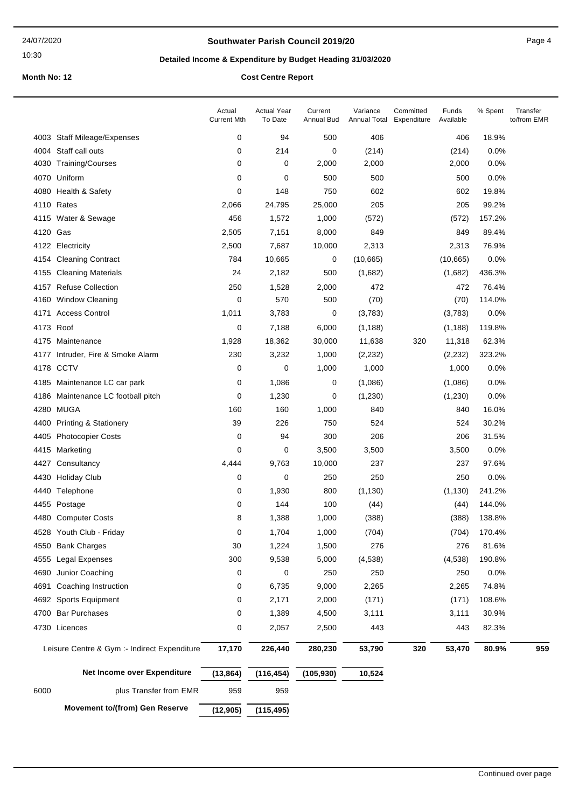## **Southwater Parish Council 2019/20** Page 4

# **Detailed Income & Expenditure by Budget Heading 31/03/2020**

| 0<br>94<br>500<br>406<br>18.9%<br>4003 Staff Mileage/Expenses<br>406<br>4004 Staff call outs<br>0<br>214<br>0<br>(214)<br>0.0%<br>(214)<br>4030 Training/Courses<br>0<br>2,000<br>0.0%<br>0<br>2,000<br>2,000<br>4070 Uniform<br>0<br>500<br>500<br>500<br>0.0%<br>0<br>0<br>148<br>750<br>602<br>602<br>19.8%<br>4080 Health & Safety<br>4110 Rates<br>24,795<br>25,000<br>205<br>205<br>99.2%<br>2,066<br>456<br>1,572<br>4115 Water & Sewage<br>1,000<br>(572)<br>(572)<br>157.2%<br>7,151<br>849<br>89.4%<br>4120 Gas<br>2,505<br>8,000<br>849<br>4122 Electricity<br>2,500<br>7,687<br>10,000<br>2,313<br>2,313<br>76.9%<br>784<br>10,665<br>(10, 665)<br>0.0%<br><b>Cleaning Contract</b><br>0<br>(10,665)<br>4154<br>24<br>2,182<br>500<br>(1,682)<br>436.3%<br><b>Cleaning Materials</b><br>(1,682)<br>4155<br>4157 Refuse Collection<br>250<br>1,528<br>2,000<br>472<br>472<br>76.4%<br><b>Window Cleaning</b><br>$\mathbf 0$<br>570<br>500<br>(70)<br>(70)<br>114.0%<br>4160<br>4171 Access Control<br>1,011<br>3,783<br>0<br>(3,783)<br>(3,783)<br>0.0%<br>4173 Roof<br>0<br>7,188<br>(1, 188)<br>119.8%<br>6,000<br>(1, 188)<br>1,928<br>18,362<br>30,000<br>11,638<br>320<br>62.3%<br>4175 Maintenance<br>11,318<br>230<br>3,232<br>323.2%<br>4177 Intruder, Fire & Smoke Alarm<br>1,000<br>(2, 232)<br>(2, 232)<br>4178 CCTV<br>0<br>0<br>1,000<br>1,000<br>0.0%<br>1,000<br>0<br>1,086<br>0.0%<br>4185 Maintenance LC car park<br>0<br>(1,086)<br>(1,086)<br>0<br>1,230<br>0<br>(1, 230)<br>0.0%<br>4186 Maintenance LC football pitch<br>(1,230)<br>4280 MUGA<br>160<br>840<br>16.0%<br>160<br>1,000<br>840<br>4400 Printing & Stationery<br>39<br>226<br>750<br>524<br>524<br>30.2%<br>206<br>0<br>94<br>300<br>206<br>31.5%<br>4405 Photocopier Costs<br>0<br>0.0%<br>Marketing<br>0<br>3,500<br>3,500<br>3,500<br>4415<br>9,763<br>10,000<br>237<br>97.6%<br>4427<br>Consultancy<br>4,444<br>237<br>0<br>0<br>250<br>250<br>250<br>0.0%<br>4430<br><b>Holiday Club</b><br>0<br>1,930<br>800<br>(1, 130)<br>241.2%<br>4440 Telephone<br>(1, 130)<br>144<br>4455 Postage<br>0<br>100<br>(44)<br>(44)<br>144.0%<br>8<br>1,388<br>(388)<br>138.8%<br>4480<br><b>Computer Costs</b><br>1,000<br>(388)<br>4528 Youth Club - Friday<br>0<br>1,704<br>1,000<br>(704)<br>(704)<br>170.4%<br>1,224<br>1,500<br>276<br>81.6%<br>4550 Bank Charges<br>30<br>276<br>300<br>9,538<br>190.8%<br>Legal Expenses<br>5,000<br>(4, 538)<br>(4,538)<br>4555<br>Junior Coaching<br>250<br>4690<br>0<br>0<br>250<br>250<br>0.0%<br>6,735<br>2,265<br>74.8%<br>Coaching Instruction<br>0<br>9,000<br>2,265<br>4691<br>4692 Sports Equipment<br>0<br>2,171<br>2,000<br>(171)<br>(171)<br>108.6%<br>4700 Bar Purchases<br>0<br>1,389<br>4,500<br>3,111<br>3,111<br>30.9%<br>2,057<br>443<br>82.3%<br>4730 Licences<br>0<br>2,500<br>443<br>17,170<br>Leisure Centre & Gym :- Indirect Expenditure<br>226,440<br>280,230<br>53,790<br>320<br>53,470<br>80.9%<br>959<br>Net Income over Expenditure<br>(13, 864)<br>(116, 454)<br>(105, 930)<br>10,524<br>959<br>6000<br>plus Transfer from EMR<br>959<br><b>Movement to/(from) Gen Reserve</b><br>(12, 905)<br>(115, 495) |  | Actual<br><b>Current Mth</b> | <b>Actual Year</b><br>To Date | Current<br><b>Annual Bud</b> | Variance<br>Annual Total | Committed<br>Expenditure | Funds<br>Available | % Spent | Transfer<br>to/from EMR |
|--------------------------------------------------------------------------------------------------------------------------------------------------------------------------------------------------------------------------------------------------------------------------------------------------------------------------------------------------------------------------------------------------------------------------------------------------------------------------------------------------------------------------------------------------------------------------------------------------------------------------------------------------------------------------------------------------------------------------------------------------------------------------------------------------------------------------------------------------------------------------------------------------------------------------------------------------------------------------------------------------------------------------------------------------------------------------------------------------------------------------------------------------------------------------------------------------------------------------------------------------------------------------------------------------------------------------------------------------------------------------------------------------------------------------------------------------------------------------------------------------------------------------------------------------------------------------------------------------------------------------------------------------------------------------------------------------------------------------------------------------------------------------------------------------------------------------------------------------------------------------------------------------------------------------------------------------------------------------------------------------------------------------------------------------------------------------------------------------------------------------------------------------------------------------------------------------------------------------------------------------------------------------------------------------------------------------------------------------------------------------------------------------------------------------------------------------------------------------------------------------------------------------------------------------------------------------------------------------------------------------------------------------------------------------------------------------------------------------------------------------------------------------------------------------------------------------------------------------------------------------------------------------------------------------------------------------------------------------------------------------------------------------------------------------------------------------------------------------------------------------------------------------------------------|--|------------------------------|-------------------------------|------------------------------|--------------------------|--------------------------|--------------------|---------|-------------------------|
|                                                                                                                                                                                                                                                                                                                                                                                                                                                                                                                                                                                                                                                                                                                                                                                                                                                                                                                                                                                                                                                                                                                                                                                                                                                                                                                                                                                                                                                                                                                                                                                                                                                                                                                                                                                                                                                                                                                                                                                                                                                                                                                                                                                                                                                                                                                                                                                                                                                                                                                                                                                                                                                                                                                                                                                                                                                                                                                                                                                                                                                                                                                                                                    |  |                              |                               |                              |                          |                          |                    |         |                         |
|                                                                                                                                                                                                                                                                                                                                                                                                                                                                                                                                                                                                                                                                                                                                                                                                                                                                                                                                                                                                                                                                                                                                                                                                                                                                                                                                                                                                                                                                                                                                                                                                                                                                                                                                                                                                                                                                                                                                                                                                                                                                                                                                                                                                                                                                                                                                                                                                                                                                                                                                                                                                                                                                                                                                                                                                                                                                                                                                                                                                                                                                                                                                                                    |  |                              |                               |                              |                          |                          |                    |         |                         |
|                                                                                                                                                                                                                                                                                                                                                                                                                                                                                                                                                                                                                                                                                                                                                                                                                                                                                                                                                                                                                                                                                                                                                                                                                                                                                                                                                                                                                                                                                                                                                                                                                                                                                                                                                                                                                                                                                                                                                                                                                                                                                                                                                                                                                                                                                                                                                                                                                                                                                                                                                                                                                                                                                                                                                                                                                                                                                                                                                                                                                                                                                                                                                                    |  |                              |                               |                              |                          |                          |                    |         |                         |
|                                                                                                                                                                                                                                                                                                                                                                                                                                                                                                                                                                                                                                                                                                                                                                                                                                                                                                                                                                                                                                                                                                                                                                                                                                                                                                                                                                                                                                                                                                                                                                                                                                                                                                                                                                                                                                                                                                                                                                                                                                                                                                                                                                                                                                                                                                                                                                                                                                                                                                                                                                                                                                                                                                                                                                                                                                                                                                                                                                                                                                                                                                                                                                    |  |                              |                               |                              |                          |                          |                    |         |                         |
|                                                                                                                                                                                                                                                                                                                                                                                                                                                                                                                                                                                                                                                                                                                                                                                                                                                                                                                                                                                                                                                                                                                                                                                                                                                                                                                                                                                                                                                                                                                                                                                                                                                                                                                                                                                                                                                                                                                                                                                                                                                                                                                                                                                                                                                                                                                                                                                                                                                                                                                                                                                                                                                                                                                                                                                                                                                                                                                                                                                                                                                                                                                                                                    |  |                              |                               |                              |                          |                          |                    |         |                         |
|                                                                                                                                                                                                                                                                                                                                                                                                                                                                                                                                                                                                                                                                                                                                                                                                                                                                                                                                                                                                                                                                                                                                                                                                                                                                                                                                                                                                                                                                                                                                                                                                                                                                                                                                                                                                                                                                                                                                                                                                                                                                                                                                                                                                                                                                                                                                                                                                                                                                                                                                                                                                                                                                                                                                                                                                                                                                                                                                                                                                                                                                                                                                                                    |  |                              |                               |                              |                          |                          |                    |         |                         |
|                                                                                                                                                                                                                                                                                                                                                                                                                                                                                                                                                                                                                                                                                                                                                                                                                                                                                                                                                                                                                                                                                                                                                                                                                                                                                                                                                                                                                                                                                                                                                                                                                                                                                                                                                                                                                                                                                                                                                                                                                                                                                                                                                                                                                                                                                                                                                                                                                                                                                                                                                                                                                                                                                                                                                                                                                                                                                                                                                                                                                                                                                                                                                                    |  |                              |                               |                              |                          |                          |                    |         |                         |
|                                                                                                                                                                                                                                                                                                                                                                                                                                                                                                                                                                                                                                                                                                                                                                                                                                                                                                                                                                                                                                                                                                                                                                                                                                                                                                                                                                                                                                                                                                                                                                                                                                                                                                                                                                                                                                                                                                                                                                                                                                                                                                                                                                                                                                                                                                                                                                                                                                                                                                                                                                                                                                                                                                                                                                                                                                                                                                                                                                                                                                                                                                                                                                    |  |                              |                               |                              |                          |                          |                    |         |                         |
|                                                                                                                                                                                                                                                                                                                                                                                                                                                                                                                                                                                                                                                                                                                                                                                                                                                                                                                                                                                                                                                                                                                                                                                                                                                                                                                                                                                                                                                                                                                                                                                                                                                                                                                                                                                                                                                                                                                                                                                                                                                                                                                                                                                                                                                                                                                                                                                                                                                                                                                                                                                                                                                                                                                                                                                                                                                                                                                                                                                                                                                                                                                                                                    |  |                              |                               |                              |                          |                          |                    |         |                         |
|                                                                                                                                                                                                                                                                                                                                                                                                                                                                                                                                                                                                                                                                                                                                                                                                                                                                                                                                                                                                                                                                                                                                                                                                                                                                                                                                                                                                                                                                                                                                                                                                                                                                                                                                                                                                                                                                                                                                                                                                                                                                                                                                                                                                                                                                                                                                                                                                                                                                                                                                                                                                                                                                                                                                                                                                                                                                                                                                                                                                                                                                                                                                                                    |  |                              |                               |                              |                          |                          |                    |         |                         |
|                                                                                                                                                                                                                                                                                                                                                                                                                                                                                                                                                                                                                                                                                                                                                                                                                                                                                                                                                                                                                                                                                                                                                                                                                                                                                                                                                                                                                                                                                                                                                                                                                                                                                                                                                                                                                                                                                                                                                                                                                                                                                                                                                                                                                                                                                                                                                                                                                                                                                                                                                                                                                                                                                                                                                                                                                                                                                                                                                                                                                                                                                                                                                                    |  |                              |                               |                              |                          |                          |                    |         |                         |
|                                                                                                                                                                                                                                                                                                                                                                                                                                                                                                                                                                                                                                                                                                                                                                                                                                                                                                                                                                                                                                                                                                                                                                                                                                                                                                                                                                                                                                                                                                                                                                                                                                                                                                                                                                                                                                                                                                                                                                                                                                                                                                                                                                                                                                                                                                                                                                                                                                                                                                                                                                                                                                                                                                                                                                                                                                                                                                                                                                                                                                                                                                                                                                    |  |                              |                               |                              |                          |                          |                    |         |                         |
|                                                                                                                                                                                                                                                                                                                                                                                                                                                                                                                                                                                                                                                                                                                                                                                                                                                                                                                                                                                                                                                                                                                                                                                                                                                                                                                                                                                                                                                                                                                                                                                                                                                                                                                                                                                                                                                                                                                                                                                                                                                                                                                                                                                                                                                                                                                                                                                                                                                                                                                                                                                                                                                                                                                                                                                                                                                                                                                                                                                                                                                                                                                                                                    |  |                              |                               |                              |                          |                          |                    |         |                         |
|                                                                                                                                                                                                                                                                                                                                                                                                                                                                                                                                                                                                                                                                                                                                                                                                                                                                                                                                                                                                                                                                                                                                                                                                                                                                                                                                                                                                                                                                                                                                                                                                                                                                                                                                                                                                                                                                                                                                                                                                                                                                                                                                                                                                                                                                                                                                                                                                                                                                                                                                                                                                                                                                                                                                                                                                                                                                                                                                                                                                                                                                                                                                                                    |  |                              |                               |                              |                          |                          |                    |         |                         |
|                                                                                                                                                                                                                                                                                                                                                                                                                                                                                                                                                                                                                                                                                                                                                                                                                                                                                                                                                                                                                                                                                                                                                                                                                                                                                                                                                                                                                                                                                                                                                                                                                                                                                                                                                                                                                                                                                                                                                                                                                                                                                                                                                                                                                                                                                                                                                                                                                                                                                                                                                                                                                                                                                                                                                                                                                                                                                                                                                                                                                                                                                                                                                                    |  |                              |                               |                              |                          |                          |                    |         |                         |
|                                                                                                                                                                                                                                                                                                                                                                                                                                                                                                                                                                                                                                                                                                                                                                                                                                                                                                                                                                                                                                                                                                                                                                                                                                                                                                                                                                                                                                                                                                                                                                                                                                                                                                                                                                                                                                                                                                                                                                                                                                                                                                                                                                                                                                                                                                                                                                                                                                                                                                                                                                                                                                                                                                                                                                                                                                                                                                                                                                                                                                                                                                                                                                    |  |                              |                               |                              |                          |                          |                    |         |                         |
|                                                                                                                                                                                                                                                                                                                                                                                                                                                                                                                                                                                                                                                                                                                                                                                                                                                                                                                                                                                                                                                                                                                                                                                                                                                                                                                                                                                                                                                                                                                                                                                                                                                                                                                                                                                                                                                                                                                                                                                                                                                                                                                                                                                                                                                                                                                                                                                                                                                                                                                                                                                                                                                                                                                                                                                                                                                                                                                                                                                                                                                                                                                                                                    |  |                              |                               |                              |                          |                          |                    |         |                         |
|                                                                                                                                                                                                                                                                                                                                                                                                                                                                                                                                                                                                                                                                                                                                                                                                                                                                                                                                                                                                                                                                                                                                                                                                                                                                                                                                                                                                                                                                                                                                                                                                                                                                                                                                                                                                                                                                                                                                                                                                                                                                                                                                                                                                                                                                                                                                                                                                                                                                                                                                                                                                                                                                                                                                                                                                                                                                                                                                                                                                                                                                                                                                                                    |  |                              |                               |                              |                          |                          |                    |         |                         |
|                                                                                                                                                                                                                                                                                                                                                                                                                                                                                                                                                                                                                                                                                                                                                                                                                                                                                                                                                                                                                                                                                                                                                                                                                                                                                                                                                                                                                                                                                                                                                                                                                                                                                                                                                                                                                                                                                                                                                                                                                                                                                                                                                                                                                                                                                                                                                                                                                                                                                                                                                                                                                                                                                                                                                                                                                                                                                                                                                                                                                                                                                                                                                                    |  |                              |                               |                              |                          |                          |                    |         |                         |
|                                                                                                                                                                                                                                                                                                                                                                                                                                                                                                                                                                                                                                                                                                                                                                                                                                                                                                                                                                                                                                                                                                                                                                                                                                                                                                                                                                                                                                                                                                                                                                                                                                                                                                                                                                                                                                                                                                                                                                                                                                                                                                                                                                                                                                                                                                                                                                                                                                                                                                                                                                                                                                                                                                                                                                                                                                                                                                                                                                                                                                                                                                                                                                    |  |                              |                               |                              |                          |                          |                    |         |                         |
|                                                                                                                                                                                                                                                                                                                                                                                                                                                                                                                                                                                                                                                                                                                                                                                                                                                                                                                                                                                                                                                                                                                                                                                                                                                                                                                                                                                                                                                                                                                                                                                                                                                                                                                                                                                                                                                                                                                                                                                                                                                                                                                                                                                                                                                                                                                                                                                                                                                                                                                                                                                                                                                                                                                                                                                                                                                                                                                                                                                                                                                                                                                                                                    |  |                              |                               |                              |                          |                          |                    |         |                         |
|                                                                                                                                                                                                                                                                                                                                                                                                                                                                                                                                                                                                                                                                                                                                                                                                                                                                                                                                                                                                                                                                                                                                                                                                                                                                                                                                                                                                                                                                                                                                                                                                                                                                                                                                                                                                                                                                                                                                                                                                                                                                                                                                                                                                                                                                                                                                                                                                                                                                                                                                                                                                                                                                                                                                                                                                                                                                                                                                                                                                                                                                                                                                                                    |  |                              |                               |                              |                          |                          |                    |         |                         |
|                                                                                                                                                                                                                                                                                                                                                                                                                                                                                                                                                                                                                                                                                                                                                                                                                                                                                                                                                                                                                                                                                                                                                                                                                                                                                                                                                                                                                                                                                                                                                                                                                                                                                                                                                                                                                                                                                                                                                                                                                                                                                                                                                                                                                                                                                                                                                                                                                                                                                                                                                                                                                                                                                                                                                                                                                                                                                                                                                                                                                                                                                                                                                                    |  |                              |                               |                              |                          |                          |                    |         |                         |
|                                                                                                                                                                                                                                                                                                                                                                                                                                                                                                                                                                                                                                                                                                                                                                                                                                                                                                                                                                                                                                                                                                                                                                                                                                                                                                                                                                                                                                                                                                                                                                                                                                                                                                                                                                                                                                                                                                                                                                                                                                                                                                                                                                                                                                                                                                                                                                                                                                                                                                                                                                                                                                                                                                                                                                                                                                                                                                                                                                                                                                                                                                                                                                    |  |                              |                               |                              |                          |                          |                    |         |                         |
|                                                                                                                                                                                                                                                                                                                                                                                                                                                                                                                                                                                                                                                                                                                                                                                                                                                                                                                                                                                                                                                                                                                                                                                                                                                                                                                                                                                                                                                                                                                                                                                                                                                                                                                                                                                                                                                                                                                                                                                                                                                                                                                                                                                                                                                                                                                                                                                                                                                                                                                                                                                                                                                                                                                                                                                                                                                                                                                                                                                                                                                                                                                                                                    |  |                              |                               |                              |                          |                          |                    |         |                         |
|                                                                                                                                                                                                                                                                                                                                                                                                                                                                                                                                                                                                                                                                                                                                                                                                                                                                                                                                                                                                                                                                                                                                                                                                                                                                                                                                                                                                                                                                                                                                                                                                                                                                                                                                                                                                                                                                                                                                                                                                                                                                                                                                                                                                                                                                                                                                                                                                                                                                                                                                                                                                                                                                                                                                                                                                                                                                                                                                                                                                                                                                                                                                                                    |  |                              |                               |                              |                          |                          |                    |         |                         |
|                                                                                                                                                                                                                                                                                                                                                                                                                                                                                                                                                                                                                                                                                                                                                                                                                                                                                                                                                                                                                                                                                                                                                                                                                                                                                                                                                                                                                                                                                                                                                                                                                                                                                                                                                                                                                                                                                                                                                                                                                                                                                                                                                                                                                                                                                                                                                                                                                                                                                                                                                                                                                                                                                                                                                                                                                                                                                                                                                                                                                                                                                                                                                                    |  |                              |                               |                              |                          |                          |                    |         |                         |
|                                                                                                                                                                                                                                                                                                                                                                                                                                                                                                                                                                                                                                                                                                                                                                                                                                                                                                                                                                                                                                                                                                                                                                                                                                                                                                                                                                                                                                                                                                                                                                                                                                                                                                                                                                                                                                                                                                                                                                                                                                                                                                                                                                                                                                                                                                                                                                                                                                                                                                                                                                                                                                                                                                                                                                                                                                                                                                                                                                                                                                                                                                                                                                    |  |                              |                               |                              |                          |                          |                    |         |                         |
|                                                                                                                                                                                                                                                                                                                                                                                                                                                                                                                                                                                                                                                                                                                                                                                                                                                                                                                                                                                                                                                                                                                                                                                                                                                                                                                                                                                                                                                                                                                                                                                                                                                                                                                                                                                                                                                                                                                                                                                                                                                                                                                                                                                                                                                                                                                                                                                                                                                                                                                                                                                                                                                                                                                                                                                                                                                                                                                                                                                                                                                                                                                                                                    |  |                              |                               |                              |                          |                          |                    |         |                         |
|                                                                                                                                                                                                                                                                                                                                                                                                                                                                                                                                                                                                                                                                                                                                                                                                                                                                                                                                                                                                                                                                                                                                                                                                                                                                                                                                                                                                                                                                                                                                                                                                                                                                                                                                                                                                                                                                                                                                                                                                                                                                                                                                                                                                                                                                                                                                                                                                                                                                                                                                                                                                                                                                                                                                                                                                                                                                                                                                                                                                                                                                                                                                                                    |  |                              |                               |                              |                          |                          |                    |         |                         |
|                                                                                                                                                                                                                                                                                                                                                                                                                                                                                                                                                                                                                                                                                                                                                                                                                                                                                                                                                                                                                                                                                                                                                                                                                                                                                                                                                                                                                                                                                                                                                                                                                                                                                                                                                                                                                                                                                                                                                                                                                                                                                                                                                                                                                                                                                                                                                                                                                                                                                                                                                                                                                                                                                                                                                                                                                                                                                                                                                                                                                                                                                                                                                                    |  |                              |                               |                              |                          |                          |                    |         |                         |
|                                                                                                                                                                                                                                                                                                                                                                                                                                                                                                                                                                                                                                                                                                                                                                                                                                                                                                                                                                                                                                                                                                                                                                                                                                                                                                                                                                                                                                                                                                                                                                                                                                                                                                                                                                                                                                                                                                                                                                                                                                                                                                                                                                                                                                                                                                                                                                                                                                                                                                                                                                                                                                                                                                                                                                                                                                                                                                                                                                                                                                                                                                                                                                    |  |                              |                               |                              |                          |                          |                    |         |                         |
|                                                                                                                                                                                                                                                                                                                                                                                                                                                                                                                                                                                                                                                                                                                                                                                                                                                                                                                                                                                                                                                                                                                                                                                                                                                                                                                                                                                                                                                                                                                                                                                                                                                                                                                                                                                                                                                                                                                                                                                                                                                                                                                                                                                                                                                                                                                                                                                                                                                                                                                                                                                                                                                                                                                                                                                                                                                                                                                                                                                                                                                                                                                                                                    |  |                              |                               |                              |                          |                          |                    |         |                         |
|                                                                                                                                                                                                                                                                                                                                                                                                                                                                                                                                                                                                                                                                                                                                                                                                                                                                                                                                                                                                                                                                                                                                                                                                                                                                                                                                                                                                                                                                                                                                                                                                                                                                                                                                                                                                                                                                                                                                                                                                                                                                                                                                                                                                                                                                                                                                                                                                                                                                                                                                                                                                                                                                                                                                                                                                                                                                                                                                                                                                                                                                                                                                                                    |  |                              |                               |                              |                          |                          |                    |         |                         |
|                                                                                                                                                                                                                                                                                                                                                                                                                                                                                                                                                                                                                                                                                                                                                                                                                                                                                                                                                                                                                                                                                                                                                                                                                                                                                                                                                                                                                                                                                                                                                                                                                                                                                                                                                                                                                                                                                                                                                                                                                                                                                                                                                                                                                                                                                                                                                                                                                                                                                                                                                                                                                                                                                                                                                                                                                                                                                                                                                                                                                                                                                                                                                                    |  |                              |                               |                              |                          |                          |                    |         |                         |
|                                                                                                                                                                                                                                                                                                                                                                                                                                                                                                                                                                                                                                                                                                                                                                                                                                                                                                                                                                                                                                                                                                                                                                                                                                                                                                                                                                                                                                                                                                                                                                                                                                                                                                                                                                                                                                                                                                                                                                                                                                                                                                                                                                                                                                                                                                                                                                                                                                                                                                                                                                                                                                                                                                                                                                                                                                                                                                                                                                                                                                                                                                                                                                    |  |                              |                               |                              |                          |                          |                    |         |                         |
|                                                                                                                                                                                                                                                                                                                                                                                                                                                                                                                                                                                                                                                                                                                                                                                                                                                                                                                                                                                                                                                                                                                                                                                                                                                                                                                                                                                                                                                                                                                                                                                                                                                                                                                                                                                                                                                                                                                                                                                                                                                                                                                                                                                                                                                                                                                                                                                                                                                                                                                                                                                                                                                                                                                                                                                                                                                                                                                                                                                                                                                                                                                                                                    |  |                              |                               |                              |                          |                          |                    |         |                         |
|                                                                                                                                                                                                                                                                                                                                                                                                                                                                                                                                                                                                                                                                                                                                                                                                                                                                                                                                                                                                                                                                                                                                                                                                                                                                                                                                                                                                                                                                                                                                                                                                                                                                                                                                                                                                                                                                                                                                                                                                                                                                                                                                                                                                                                                                                                                                                                                                                                                                                                                                                                                                                                                                                                                                                                                                                                                                                                                                                                                                                                                                                                                                                                    |  |                              |                               |                              |                          |                          |                    |         |                         |
|                                                                                                                                                                                                                                                                                                                                                                                                                                                                                                                                                                                                                                                                                                                                                                                                                                                                                                                                                                                                                                                                                                                                                                                                                                                                                                                                                                                                                                                                                                                                                                                                                                                                                                                                                                                                                                                                                                                                                                                                                                                                                                                                                                                                                                                                                                                                                                                                                                                                                                                                                                                                                                                                                                                                                                                                                                                                                                                                                                                                                                                                                                                                                                    |  |                              |                               |                              |                          |                          |                    |         |                         |
|                                                                                                                                                                                                                                                                                                                                                                                                                                                                                                                                                                                                                                                                                                                                                                                                                                                                                                                                                                                                                                                                                                                                                                                                                                                                                                                                                                                                                                                                                                                                                                                                                                                                                                                                                                                                                                                                                                                                                                                                                                                                                                                                                                                                                                                                                                                                                                                                                                                                                                                                                                                                                                                                                                                                                                                                                                                                                                                                                                                                                                                                                                                                                                    |  |                              |                               |                              |                          |                          |                    |         |                         |
|                                                                                                                                                                                                                                                                                                                                                                                                                                                                                                                                                                                                                                                                                                                                                                                                                                                                                                                                                                                                                                                                                                                                                                                                                                                                                                                                                                                                                                                                                                                                                                                                                                                                                                                                                                                                                                                                                                                                                                                                                                                                                                                                                                                                                                                                                                                                                                                                                                                                                                                                                                                                                                                                                                                                                                                                                                                                                                                                                                                                                                                                                                                                                                    |  |                              |                               |                              |                          |                          |                    |         |                         |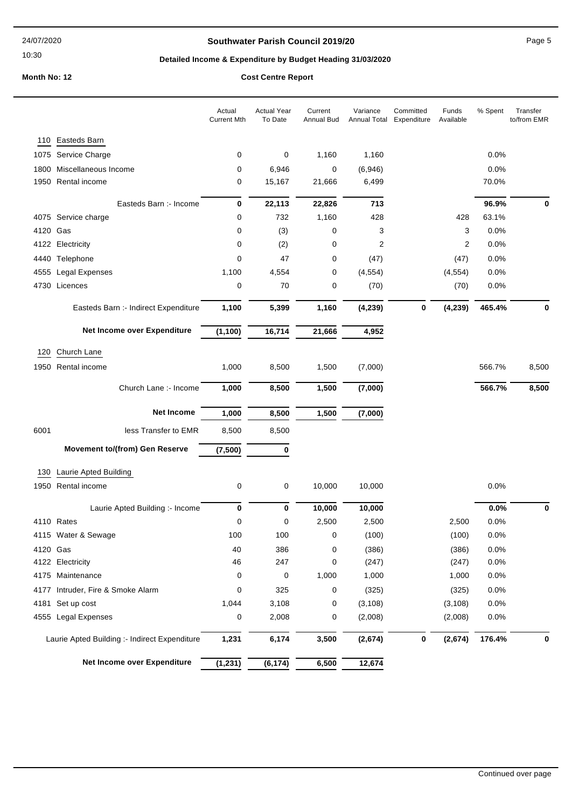## **Southwater Parish Council 2019/20** Page 5

# **Detailed Income & Expenditure by Budget Heading 31/03/2020**

**Month No: 12** 

|  | <b>Cost Centre Report</b> |  |  |
|--|---------------------------|--|--|
|  |                           |  |  |
|  |                           |  |  |
|  |                           |  |  |

|                                               | Actual<br><b>Current Mth</b> | <b>Actual Year</b><br>To Date | Current<br>Annual Bud | Variance<br>Annual Total | Committed<br>Expenditure | Funds<br>Available | % Spent | Transfer<br>to/from EMR |
|-----------------------------------------------|------------------------------|-------------------------------|-----------------------|--------------------------|--------------------------|--------------------|---------|-------------------------|
| 110 Easteds Barn                              |                              |                               |                       |                          |                          |                    |         |                         |
| Service Charge<br>1075                        | 0                            | 0                             | 1,160                 | 1,160                    |                          |                    | 0.0%    |                         |
| Miscellaneous Income<br>1800                  | 0                            | 6,946                         | 0                     | (6,946)                  |                          |                    | 0.0%    |                         |
| Rental income<br>1950                         | 0                            | 15,167                        | 21,666                | 6,499                    |                          |                    | 70.0%   |                         |
| Easteds Barn :- Income                        | 0                            | 22,113                        | 22,826                | 713                      |                          |                    | 96.9%   | 0                       |
| 4075 Service charge                           | 0                            | 732                           | 1,160                 | 428                      |                          | 428                | 63.1%   |                         |
| 4120 Gas                                      | 0                            | (3)                           | 0                     | 3                        |                          | 3                  | 0.0%    |                         |
| 4122 Electricity                              | 0                            | (2)                           | 0                     | 2                        |                          | 2                  | 0.0%    |                         |
| 4440 Telephone                                | 0                            | 47                            | 0                     | (47)                     |                          | (47)               | 0.0%    |                         |
| 4555 Legal Expenses                           | 1,100                        | 4,554                         | 0                     | (4, 554)                 |                          | (4, 554)           | 0.0%    |                         |
| 4730 Licences                                 | 0                            | 70                            | 0                     | (70)                     |                          | (70)               | 0.0%    |                         |
| Easteds Barn :- Indirect Expenditure          | 1,100                        | 5,399                         | 1,160                 | (4, 239)                 | $\bf{0}$                 | (4, 239)           | 465.4%  | 0                       |
| Net Income over Expenditure                   | (1, 100)                     | 16,714                        | 21,666                | 4,952                    |                          |                    |         |                         |
| Church Lane<br>120                            |                              |                               |                       |                          |                          |                    |         |                         |
| Rental income<br>1950                         | 1,000                        | 8,500                         | 1,500                 | (7,000)                  |                          |                    | 566.7%  | 8,500                   |
|                                               |                              |                               |                       |                          |                          |                    |         |                         |
| Church Lane :- Income                         | 1,000                        | 8,500                         | 1,500                 | (7,000)                  |                          |                    | 566.7%  | 8,500                   |
| <b>Net Income</b>                             | 1,000                        | 8,500                         | 1,500                 | (7,000)                  |                          |                    |         |                         |
| 6001<br>less Transfer to EMR                  | 8,500                        | 8,500                         |                       |                          |                          |                    |         |                         |
| <b>Movement to/(from) Gen Reserve</b>         | (7, 500)                     | 0                             |                       |                          |                          |                    |         |                         |
| Laurie Apted Building<br>130                  |                              |                               |                       |                          |                          |                    |         |                         |
| 1950 Rental income                            | 0                            | 0                             | 10,000                | 10,000                   |                          |                    | 0.0%    |                         |
| Laurie Apted Building :- Income               | 0                            | 0                             | 10,000                | 10,000                   |                          |                    | 0.0%    | 0                       |
| 4110 Rates                                    | 0                            | 0                             | 2,500                 | 2,500                    |                          | 2,500              | 0.0%    |                         |
| 4115 Water & Sewage                           | 100                          | 100                           | 0                     | (100)                    |                          | (100)              | 0.0%    |                         |
| 4120 Gas                                      | 40                           | 386                           | 0                     | (386)                    |                          | (386)              | 0.0%    |                         |
| 4122 Electricity                              | 46                           | 247                           | 0                     | (247)                    |                          | (247)              | 0.0%    |                         |
| 4175 Maintenance                              | 0                            | 0                             | 1,000                 | 1,000                    |                          | 1,000              | 0.0%    |                         |
| 4177 Intruder, Fire & Smoke Alarm             | 0                            | 325                           | 0                     | (325)                    |                          | (325)              | 0.0%    |                         |
| 4181 Set up cost                              | 1,044                        | 3,108                         | 0                     | (3, 108)                 |                          | (3, 108)           | 0.0%    |                         |
| 4555 Legal Expenses                           | 0                            | 2,008                         | 0                     | (2,008)                  |                          | (2,008)            | 0.0%    |                         |
| Laurie Apted Building :- Indirect Expenditure | 1,231                        | 6,174                         | 3,500                 | (2,674)                  | 0                        | (2,674)            | 176.4%  | 0                       |
| Net Income over Expenditure                   | (1, 231)                     | (6, 174)                      | 6,500                 | 12,674                   |                          |                    |         |                         |